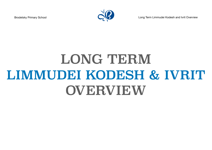

Brodetsky Primary School **Long Term Limmudei Kodesh and Ivrit Overview** 

## LONG TERM LIMMUDEI KODESH & IVRIT OVERVIEW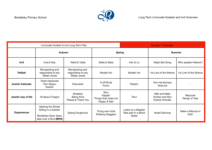

| Limmudei Kodesh & Ivrit Long Term Plan |                                                                                                     |                                                       |                                                      | <b>Nursery 1 Overview</b>                           |                                                   |                                |
|----------------------------------------|-----------------------------------------------------------------------------------------------------|-------------------------------------------------------|------------------------------------------------------|-----------------------------------------------------|---------------------------------------------------|--------------------------------|
|                                        | <b>Spring</b><br><b>Autumn</b>                                                                      |                                                       |                                                      | <b>Summer</b>                                       |                                                   |                                |
| <b>Ivrit</b>                           | Ima & Aba                                                                                           | Yeled & Yalda                                         | Safta & Saba                                         | Ken & Lo                                            | Aleph Bet Song                                    | Who speaks Hebrew?             |
| <b>Tefillah</b>                        | Recognising and<br>responding to key<br>Tefilah words                                               | Recognising and<br>responding to key<br>Tefilah words | Modeh Ani                                            | Modeh Ani                                           | 1st Line of the Shema                             | 1st Line of the Shema          |
| <b>Jewish Calendar</b>                 | Rosh Hashanah<br>Yom Kippur<br>Sukkot                                                               | Chanukah                                              | Tu B'Shvat<br>Purim                                  | Pesach                                              | Yom Ha'atzmaut<br>Shavuot                         |                                |
| Jewish way of life                     | All about Chagim                                                                                    | Shabbat<br>Being Kind<br>Please & Thank You           | Shul<br>Kippah<br>Things that make me<br>Happy & Sad | Shul                                                | Milk and Meat<br>Kosher and Non<br>Kosher Animals | Mezuzah<br>Recap of Year       |
| <b>Experiences</b>                     | Hearing the Shofar<br>Sitting in a Sukkah<br><b>Brodetsky Early Years</b><br>take over a Shul (BHH) | <b>Eating Doughnuts</b>                               | Trying new fruits<br><b>Shaking Greggers</b>         | Listen to a Megilah<br>Take part in a Mock<br>Seder | Israeli Dancing                                   | Make a Mezuza in<br><b>EAD</b> |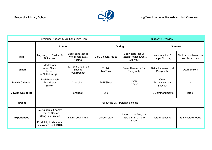

| Limmudei Kodesh & Ivrit Long Term Plan |                                                                                                                          |                                                   |                               | Nursery 2 Overview                                        |                                   |                                         |
|----------------------------------------|--------------------------------------------------------------------------------------------------------------------------|---------------------------------------------------|-------------------------------|-----------------------------------------------------------|-----------------------------------|-----------------------------------------|
|                                        | <b>Autumn</b>                                                                                                            |                                                   | <b>Spring</b>                 |                                                           | <b>Summer</b>                     |                                         |
| <b>lvrit</b>                           | Ani, Ken, Lo, Shalom &<br>Boker tov                                                                                      | Body parts (set 1)<br>Ayfo, Hineh, Etz &<br>Adama | Zeh, Colours, Fruits          | Body parts (set 2),<br>Rotzeh/Rotzah (want),<br>Ata (you) | Numbers 1 - 10<br>Happy Birthday  | Topic words based on<br>secular studies |
| <b>Tefillah</b>                        | Modeh Ani<br>Adon Olam<br>Hamotzi<br>Al Netilat Yadyim                                                                   | 1st & 2nd Line of the<br>Shema<br>Fruit Brachot   | <b>Tzittzit</b><br>Ma Tovu    | Birkat Hamazon (1st<br>Paragraph)                         | Birkat Hamazon (1st<br>Paragraph) | Oseh Shalom                             |
| <b>Jewish Calendar</b>                 | Rosh Hashanah<br>Yom Kippur<br>Sukkot                                                                                    | Chanukah                                          | Tu B'Shvat                    | Purim<br>Pesach                                           | Omer<br>Yom Ha'atzmaut<br>Shavuot |                                         |
| Jewish way of life                     |                                                                                                                          | Shabbat                                           | Shul                          |                                                           | 10 Commandments                   | <b>Israel</b>                           |
| Parasha                                |                                                                                                                          |                                                   | Follow the JCP Parshah scheme |                                                           |                                   |                                         |
| <b>Experiences</b>                     | Eating apple & honey<br>Hear the Shofar<br>Sitting in a Sukkah<br><b>Brodetsky Early Years</b><br>take over a Shul (BHH) | Eating doughnuts                                  | Garden party                  | Listen to the Megilah<br>Take part in a mock<br>Seder     | Israeli dancing                   | Eating Israeli foods                    |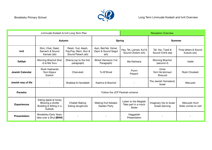

| Limmudei Kodesh & Ivrit Long Term Plan |                                                                               |                                                                |                                                      | <b>Reception Overview</b>                             |                                             |                                      |
|----------------------------------------|-------------------------------------------------------------------------------|----------------------------------------------------------------|------------------------------------------------------|-------------------------------------------------------|---------------------------------------------|--------------------------------------|
|                                        | Autumn                                                                        |                                                                |                                                      | <b>Spring</b>                                         | <b>Summer</b>                               |                                      |
| <b>Ivrit</b>                           | Shin, Chet, Dalet,<br>Samech & Sound<br>Kamatz (ah)                           | Reish, Yud, Aleph,<br>Pay/Fay, Mem, Nun &<br>Sound Patach (ah) | Ayin, Bet/Vet, Gimel,<br>Zayin & Sound Segol<br>(eh) | Hey, Tet, Lamed, Kuf &<br>Sound Cholom (oh)           | Taf, Vav, Tzadi &<br>Sound Chirik (ee)      | Final letters & Sound<br>Kubutz (oo) |
| <b>Tefillah</b>                        | Morning Brachot (first<br>4) & Ma Tovu                                        | Shema (up to the first<br>paragraph)                           | Birkat Hamazon (1st<br>Paragraph)                    | Ma Nishtana                                           | Morning Brachot<br>(second 4)               | Hallel                               |
| <b>Jewish Calendar</b>                 | Rosh Hashanah<br>Yom Kippur<br>Sukkot                                         | Chanukah                                                       | Tu B'Shvat                                           | Purim<br>Pesach                                       | Omer<br>Yom Ha'atzmaut<br>Shavuot           | Rosh Chodesh                         |
| Jewish way of life                     |                                                                               | Shabbat & Havdallah                                            | Kashrut & Brachot                                    |                                                       | The Jewish Homeland;<br><b>Israel</b>       | Mezuzah                              |
| Parasha                                |                                                                               |                                                                | Follow the JCP Parshah scheme                        |                                                       |                                             |                                      |
| <b>Experiences</b>                     | Eating apple & honey<br>Blowing a shofar<br>Building & Sitting in a<br>Sukkah | Challah Baking<br>Eating doughnuts                             | Making fruit Kebabs<br>Garden Party                  | Listen to the Megilah<br>Take part in a mock<br>Seder | Imaginary trip to Israel<br>Israeli dancing | Mezuzah Hunt<br>Sofer comes to visit |
| Presentation                           | <b>Brodetsky Early Years</b><br>take over a Shul (BHH)                        |                                                                |                                                      | Haggadah<br>Presentation                              |                                             |                                      |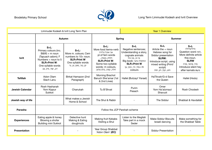

| Limmudei Kodesh & Ivrit Long Term Plan |                                                                                                                                                                     |                                                                                                                             | <b>Year 1 Overview</b>                                                                                                                                                       |                                                                                                                                                                            |                                                                                                                                                                             |                                                                                                                                                                       |
|----------------------------------------|---------------------------------------------------------------------------------------------------------------------------------------------------------------------|-----------------------------------------------------------------------------------------------------------------------------|------------------------------------------------------------------------------------------------------------------------------------------------------------------------------|----------------------------------------------------------------------------------------------------------------------------------------------------------------------------|-----------------------------------------------------------------------------------------------------------------------------------------------------------------------------|-----------------------------------------------------------------------------------------------------------------------------------------------------------------------|
|                                        | <b>Autumn</b>                                                                                                                                                       |                                                                                                                             | <b>Spring</b>                                                                                                                                                                |                                                                                                                                                                            | <b>Summer</b>                                                                                                                                                               |                                                                                                                                                                       |
| <b>Ivrit</b>                           | $S+L$ :<br>Primary colours (inc.<br>$B&W$ ) + m noun<br>(Tapuach adom); F<br>Numbers $+$ noun to 5<br><b>SLR+Print W:</b><br>One syllable words<br>דב, שור, מיץ, צב | $S+L$ :<br>More m. colours; Cem<br>numbers to 10+ noun;<br><b>SLR+Print W</b><br>One syllable words<br>ים, בור, סוס, גג, נר | $S+L$ :<br>More food items+verb<br>אני אוכל גלידה<br>pl of fem words<br>חלות, בננות<br><b>SLR+Print W:</b><br>Some two syllable<br>words: m colours,<br>חלה, עוגה, בלון צהוב | $S+L$<br>Negative sentences;<br>Understanding a story,<br>cognate animals<br>מי זה, מה זה?<br>החתולה מיצי: Big book<br><b>SLR+Print W</b><br>m +סל, הר, כוס, עץ<br>colours | $S+L$<br>Article the $+$ noun<br>Hebrew song for<br>Siddur presentation<br><b>SLRW:</b><br>Introduce script, using<br>mixed writing (Print/<br>script)<br>חוט, קוף, חץ, תות | $S+L$<br>גדול/גדולה<br>,למה Question word<br>More definite article<br>the+noun.<br><b>SLRW</b><br>פיל, פרפר, פרח<br>Introduce silent hey<br>after kamats פיצ <b>ה</b> |
| <b>Tefillah</b>                        | Adon Olam<br>Slach Lanu                                                                                                                                             | Birkat Hamazon (2nd<br>Paragraph)                                                                                           | Morning Brachot<br>Baruch She'amar (1st<br>& 2nd Lines)                                                                                                                      | Hallel (Butzayt Yisrael)                                                                                                                                                   | HaTikvah/G-d Save<br>the Queen                                                                                                                                              | Hallel (Hodu)                                                                                                                                                         |
| <b>Jewish Calendar</b>                 | Rosh Hashanah<br>Yom Kippur<br>Sukkot                                                                                                                               | Chanukah                                                                                                                    | Tu B'Shvat                                                                                                                                                                   | Purim<br>Pesach                                                                                                                                                            | Omer<br>Yom Ha'atzmaut<br>Shavuot                                                                                                                                           | Rosh Chodesh                                                                                                                                                          |
| Jewish way of life                     |                                                                                                                                                                     | What makes a Jewish<br>Home & School                                                                                        | The Shul & Rabbi                                                                                                                                                             |                                                                                                                                                                            | The Siddur                                                                                                                                                                  | Shabbat & Havdallah                                                                                                                                                   |
| Parasha                                | Follow the JCP Parshah scheme                                                                                                                                       |                                                                                                                             |                                                                                                                                                                              |                                                                                                                                                                            |                                                                                                                                                                             |                                                                                                                                                                       |
| <b>Experiences</b>                     | Eating apple & honey<br>Blowing a shofar<br><b>Building mini Sukkot</b>                                                                                             | Detective hunt<br>Making & Eating<br>doughnuts                                                                              | <b>Making fruit Kebabs</b><br>Visiting a Shul                                                                                                                                | Listen to the Megilah<br>Take part in a mock<br>Seder                                                                                                                      | <b>Make Siddur Biscuits</b><br>Israeli dancing                                                                                                                              | Make something for<br>the Shabbat Table                                                                                                                               |
| <b>Presentation</b>                    |                                                                                                                                                                     |                                                                                                                             | Year Group Shabbat<br>'Adon Olam' (EC)                                                                                                                                       |                                                                                                                                                                            | <b>Siddur Presentation</b>                                                                                                                                                  |                                                                                                                                                                       |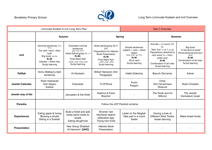

| Limmudei Kodesh & Ivrit Long Term Plan |                                                                                                                                                   |                                                                                                                                                               |                                                                                                                                                            | <b>Year 2 Overview</b>                                                                                                  |                                                                                                                                                                                            |                                                                                                                                 |  |
|----------------------------------------|---------------------------------------------------------------------------------------------------------------------------------------------------|---------------------------------------------------------------------------------------------------------------------------------------------------------------|------------------------------------------------------------------------------------------------------------------------------------------------------------|-------------------------------------------------------------------------------------------------------------------------|--------------------------------------------------------------------------------------------------------------------------------------------------------------------------------------------|---------------------------------------------------------------------------------------------------------------------------------|--|
|                                        |                                                                                                                                                   | Autumn                                                                                                                                                        |                                                                                                                                                            | <b>Spring</b>                                                                                                           |                                                                                                                                                                                            | <b>Summer</b>                                                                                                                   |  |
| <b>Ivrit</b>                           | <b>Nominal sentences</b> הילד<br>גדול<br>The verb 'want'; Also/<br>both<br>גם וגם: Big book:<br>$R+W$ :<br>Kamats + Silent Hey<br>Script learning | Extended nominal<br>sentences<br>הילד גדול וטוב<br>Verbs Eat/sing/say $m + f$<br>$R+W:$<br><b>Final Silent Alef</b><br>אבא, אמא, סבא, סבתא<br>Script learning | Verbs eat/sing/say M, F,<br>S, P<br>Preparations for Hebrew<br><b>Book Presentation</b><br>$R+W$<br>Final Silent Ayin<br>כובע, שבע, תשע<br>Script learning | Simple sentences<br>$subject + verb + direct$<br>object<br>הילד שר 'אדון עולם'<br>$R+W$<br>Shva nach<br>Script learning | Animals $+$ m nouns 'im'<br>pl<br>Verb 'live' גר m, f, s, pl<br>Prepositions attached to<br>next word: in $+$ from:<br>prefix and;<br>$R+W$<br>Combination of all rules<br>Script learning | Big book<br>'In the land of Israel'<br>Plural personal pronoun<br>אנחנו<br>$R+W$<br>Combination of all rules<br>Script learning |  |
| <b>Tefillah</b>                        | Avinu Malkaynu (last<br>sentence)                                                                                                                 | Al Hanissim                                                                                                                                                   | Birkat Hamazon (3rd<br>Paragraph)                                                                                                                          | Hallel (Odecha)                                                                                                         | Baruch She'amar                                                                                                                                                                            | Ashrei                                                                                                                          |  |
| <b>Jewish Calendar</b>                 | Rosh Hashanah<br>Yom Kippur<br>Sukkot                                                                                                             | Chanukah                                                                                                                                                      | Tu B'Shvat                                                                                                                                                 | Purim<br>Pesach                                                                                                         | Omer<br>Yom Ha'atzmaut<br>Shavuot                                                                                                                                                          | Rosh Chodesh                                                                                                                    |  |
| Jewish way of life                     |                                                                                                                                                   | Jerusalem & the Kotel                                                                                                                                         | Kashrut & Food<br><b>Brachot</b>                                                                                                                           |                                                                                                                         | The Torah and it's<br>Mitzvot                                                                                                                                                              | The Jewish<br>Homeland; Israel                                                                                                  |  |
| Parasha                                |                                                                                                                                                   |                                                                                                                                                               | Follow the JCP Parshah scheme                                                                                                                              |                                                                                                                         |                                                                                                                                                                                            |                                                                                                                                 |  |
| <b>Experiences</b>                     | Eating apple & honey<br>Blowing a shofar<br>Sitting in a Sukkah                                                                                   | Build a Kotel and add<br>notes (send notes to<br>Israel)<br>Eating doughnuts                                                                                  | Shomer visit<br>Hechsher search<br>IsItKosher app<br>Trying new fruits                                                                                     | Listen to the Megilah<br>Take part in a mock<br>Seder                                                                   | Having a look at<br>Different Sifrei Torahs<br>Israeli dancing                                                                                                                             | Make Israeli foods                                                                                                              |  |
| <b>Presentation</b>                    |                                                                                                                                                   | Year Group Shabbat<br>'Al Hanissim' (UHC)                                                                                                                     | <b>Hebrew Book</b><br>Presentation                                                                                                                         |                                                                                                                         |                                                                                                                                                                                            |                                                                                                                                 |  |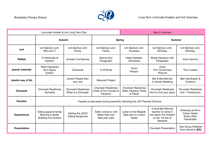

| Limmudei Kodesh & Ivrit Long Term Plan |                                                                         |                                               |                                                                       | <b>Year 3 Overview</b>                                       |                                                                                                                |                                                                |
|----------------------------------------|-------------------------------------------------------------------------|-----------------------------------------------|-----------------------------------------------------------------------|--------------------------------------------------------------|----------------------------------------------------------------------------------------------------------------|----------------------------------------------------------------|
|                                        | Autumn                                                                  |                                               | <b>Spring</b>                                                         |                                                              | <b>Summer</b>                                                                                                  |                                                                |
| <b>Ivrit</b>                           | Ivrit BeClick Unit:<br>Who am I?                                        | Ivrit BeClick Unit:<br>Family                 | Ivrit BeClick Unit:<br>Family                                         | Ivrit BeClick Unit:<br><b>Numbers</b>                        | Ivrit BeClick Unit:<br>Birthday                                                                                | Ivrit BeClick Unit:<br>Birthday                                |
| <b>Tefillah</b>                        | 13 Attributes of<br>Hashem                                              | Amidah (1st Bracha)                           | Shema (3rd<br>Paragraph)                                              | Hallel (Hashem<br>Zecharani)                                 | Birkat Hamazon (4th<br>Paragraph)                                                                              | Anim Zemirot                                                   |
| <b>Jewish Calendar</b>                 | Rosh Hashanah<br>Yom Kippur<br>Sukkot                                   | Chanukah                                      | Tu B'Shvat                                                            | Purim<br>Pesach                                              | Omer<br>Yom Ha'atzmaut<br>Shavuot                                                                              | The 3 weeks                                                    |
| Jewish way of life                     |                                                                         | Jewish People then<br>and now                 | Mezuzah Project                                                       |                                                              | Bar & Bat Mitzvah<br>A Jewish Wedding                                                                          | Beit Hamikdash &<br>Cohanim                                    |
| <b>Chumash</b>                         | <b>Chumash Readiness</b><br>Gematria                                    | <b>Chumash Readiness</b><br>What is a Chumash | <b>Chumash Readiness</b><br>Order of the 5 books &<br>Parashot        | <b>Chumash Readiness</b><br>Sefer, Parasha, Perek<br>& Pasuk | <b>Chumash Readiness</b><br>How to find your place                                                             | <b>Chumash Readiness</b><br>Unit 1 introduction                |
| Parasha                                |                                                                         |                                               | Parasha is discussed during assembly following the JCP Parshah Scheme |                                                              |                                                                                                                |                                                                |
| <b>Experiences</b>                     | Eating apple & honey<br>Blowing a shofar<br><b>Building mini Sukkot</b> | Visiting the JHCC<br>Eating doughnuts         | Sofer comes to visit<br>Make their own<br>Mezuzah case                | Listen to the Megilah<br>Take part in a mock<br>Seder        | A local Bar Mitzvah<br>teacher to come in<br>and teach the Children<br>to lein 1st line of<br><b>Bereishit</b> | Dressing up like a<br>Cohen Gadol<br>Build a Beit<br>Hamikdash |
| <b>Presentation</b>                    |                                                                         |                                               |                                                                       |                                                              | <b>Chumash Presentation</b>                                                                                    | Year Group Shabbat<br>'Anim Zemirot' (EC)                      |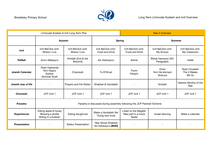

| Limmudei Kodesh & Ivrit Long Term Plan |                                                                 |                                     |                                                                       | <b>Year 4 Overview</b>                                |                                   |                                       |
|----------------------------------------|-----------------------------------------------------------------|-------------------------------------|-----------------------------------------------------------------------|-------------------------------------------------------|-----------------------------------|---------------------------------------|
|                                        |                                                                 | Autumn                              | <b>Spring</b>                                                         |                                                       | <b>Summer</b>                     |                                       |
| <b>lvrit</b>                           | Ivrit BeClick Unit:<br>Where I Live                             | Ivrit BeClick Unit:<br>Where I Live | Ivrit BeClick Unit:<br>Food and Drink                                 | Ivrit BeClick Unit:<br>Food and Drink                 | Ivrit BeClick Unit:<br>My School  | Ivrit BeClick Unit:<br>My Classroom   |
| <b>Tefillah</b>                        | Avinu Malkaynu                                                  | Amidah (2nd & 3rd<br>Brachot)       | Ain Kelohaynu                                                         | Ashrie                                                | Birkat Hamazon (5th<br>Paragraph) | Hallel                                |
| <b>Jewish Calendar</b>                 | Rosh Hashanah<br>Yom Kippur<br>Sukkot<br>Simchat Torah          | Chanukah                            | Tu B'Shvat                                                            | Purim<br>Pesach                                       | Omer<br>Yom Ha'atzmaut<br>Shavuot | Rosh Chodesh<br>The 3 Weeks<br>9th Av |
| Jewish way of life                     |                                                                 | Prayers and the Siddur              | Shabbat & Havdallah                                                   |                                                       | Amidah                            | Hebrew Months of the<br>Year          |
| Chumash                                | JCP Unit 1                                                      | JCP Unit 1                          | <b>JCP Unit 1</b>                                                     | JCP Unit 1                                            | JCP Unit 1                        | JCP Unit 1                            |
| Parasha                                |                                                                 |                                     | Parasha is discussed during assembly following the JCP Parshah Scheme |                                                       |                                   |                                       |
| <b>Experiences</b>                     | Eating apple & honey<br>Blowing a shofar<br>Sitting in a Sukkah | Eating doughnuts                    | Make a Havdallah Set<br>Trying new fruits                             | Listen to the Megilah<br>Take part in a mock<br>Seder | Israeli dancing                   | Make a calendar                       |
| <b>Presentation</b>                    |                                                                 | <b>Siddur Presentation</b>          | Year Group Shabbat<br>Ain Kelohaynu (BHH)                             |                                                       |                                   |                                       |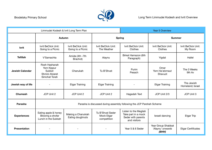

| Limmudei Kodesh & Ivrit Long Term Plan |                                                                          |                                          |                                               | <b>Year 5 Overview</b>                                                             |                                                 |                                |
|----------------------------------------|--------------------------------------------------------------------------|------------------------------------------|-----------------------------------------------|------------------------------------------------------------------------------------|-------------------------------------------------|--------------------------------|
|                                        | Autumn                                                                   |                                          | <b>Spring</b>                                 |                                                                                    | <b>Summer</b>                                   |                                |
| <b>Ivrit</b>                           | Ivrit BeClick Unit:<br>Going to a Picnic                                 | Ivrit BeClick Unit:<br>Going to a Picnic | Ivrit BeClick Unit:<br>The Weather            | Ivrit BeClick Unit:<br>Clothes                                                     | Ivrit BeClick Unit:<br>Clothes                  | Ivrit BeClick Unit:<br>My Room |
| <b>Tefillah</b>                        | V'Samachta                                                               | Amida (4th -7th<br>Brachot)              | Alaynu                                        | Birkat Hamazon (6th<br>Paragraph)                                                  | Yigdal                                          | Hallel                         |
| <b>Jewish Calendar</b>                 | Rosh Hashanah<br>Yom Kippur<br>Sukkot<br>Shmini Atzeret<br>Simchat Torah | Chanukah                                 | Tu B'Shvat                                    | Purim<br>Pesach                                                                    | Omer<br>Yom Ha'atzmaut<br>Shavuot               | The 3 Weeks<br>9th Av          |
| Jewish way of life                     |                                                                          | <b>Etgar Training</b>                    | <b>Etgar Training</b>                         |                                                                                    | <b>Etgar Training</b>                           | The Jewish<br>Homeland; Israel |
| Chumash                                | JCP Unit 2                                                               | JCP Unit 2                               | JCP Unit 2                                    | Hagadah Text                                                                       | JCP Unit 2/3                                    | JCP Unit 3                     |
| Parasha                                |                                                                          |                                          |                                               | Parasha is discussed during assembly following the JCP Parshah Scheme              |                                                 |                                |
| <b>Experiences</b>                     | Eating apple & honey<br>Blowing a shofar<br>Lunch in the Sukkah          | Making a Chanukiah<br>Eating doughnuts   | Tu B'Shvat Seder<br>Mock Etgar<br>competition | Listen to the Megilah<br>Take part in a mock<br>Seder with parents<br>and visitors | Israeli dancing                                 | <b>Etgar Trip</b>              |
| <b>Presentation</b>                    |                                                                          |                                          |                                               | Year 5 & 6 Seder                                                                   | Year Group Shabbat<br>'Alaynu' onwards<br>(BHH) | <b>Etgar Certificates</b>      |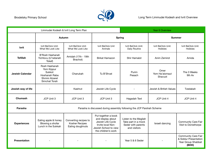

| Limmudei Kodesh & Ivrit Long Term Plan |                                                                                           |                                                             |                                                                                                                                    | <b>Year 6 Overview</b>                                                             |                                       |                                                                                    |
|----------------------------------------|-------------------------------------------------------------------------------------------|-------------------------------------------------------------|------------------------------------------------------------------------------------------------------------------------------------|------------------------------------------------------------------------------------|---------------------------------------|------------------------------------------------------------------------------------|
|                                        | <b>Autumn</b>                                                                             |                                                             | <b>Spring</b>                                                                                                                      |                                                                                    | <b>Summer</b>                         |                                                                                    |
| <b>Ivrit</b>                           | Ivrit BeClick Unit:<br>What We Look Like                                                  | Ivrit BeClick Unit:<br>What We Look Like                    | Ivrit BeClick Unit<br>Animals                                                                                                      | Ivrit BeClick Unit:<br>Daily Routine                                               | Ivrit BeClick Unit:<br><b>Hobbies</b> | Ivrit BeClick Unit:<br>Hobbies                                                     |
| <b>Tefillah</b>                        | B'Rosh Hashanah<br>Yichtovu (U'netaneh<br>Tokef)                                          | Amidah (17th - 19th<br>Brachot)                             | <b>Birkat Hamazon</b>                                                                                                              | Shir Hamalot                                                                       | Anim Zemirot                          | Amida                                                                              |
| <b>Jewish Calendar</b>                 | Rosh Hashanah<br>Yom Kippur<br>Sukkot<br>Hoshanah Raba<br>Shmini Atzeret<br>Simchat Torah | Chanukah                                                    | Tu B'Shvat                                                                                                                         | Purim<br>Pesach                                                                    | Omer<br>Yom Ha'atzmaut<br>Shavuot     | The 3 Weeks<br>9th Av                                                              |
| Jewish way of life                     |                                                                                           | Kashrut                                                     | Jewish Life Cycle                                                                                                                  |                                                                                    | Jewish & British Values               | Tzedakah                                                                           |
| Chumash                                | JCP Unit 3                                                                                | JCP Unit 3                                                  | JCP Unit 3                                                                                                                         | Hagadah Text                                                                       | JCP Unit 4                            | JCP Unit 4                                                                         |
| Parasha                                |                                                                                           |                                                             | Parasha is discussed during assembly following the JCP Parshah Scheme                                                              |                                                                                    |                                       |                                                                                    |
| <b>Experiences</b>                     | Eating apple & honey<br>Blowing a shofar<br>Lunch in the Sukkah                           | Converting recipes to<br>Kosher Recipes<br>Eating doughnuts | Put together a book<br>and display about<br>Jewish Life Cycle<br>Invite local Non-<br>Jewish School to view<br>the children's work | Listen to the Megilah<br>Take part in a mock<br>Seder with parents<br>and visitors | Israeli dancing                       | <b>Community Care Fair</b><br>Visit to Donisthorpe                                 |
| <b>Presentation</b>                    |                                                                                           |                                                             |                                                                                                                                    | Year 5 & 6 Seder                                                                   |                                       | <b>Community Care Fair</b><br>& Siddur Presentation<br>Year Group Shabbat<br>(BHH) |